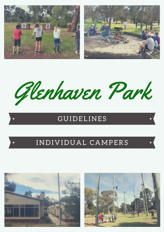

Glenhaven Park

# **GUIDELINES**

# INDIVIDUAL CAMPERS